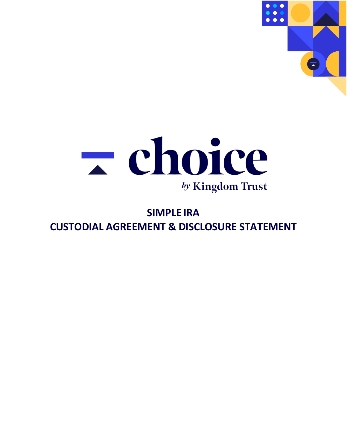



# **SIMPLE IRA CUSTODIAL AGREEMENT & DISCLOSURE STATEMENT**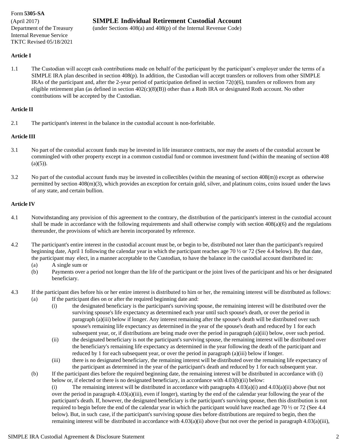#### Form **5305-SA**

Internal Revenue Service TKTC Revised 05/18/2021

### (April 2017) **SIMPLE Individual Retirement Custodial Account**

Department of the Treasury (under Sections 408(a) and 408(p) of the Internal Revenue Code)

#### **Article I**

1.1 The Custodian will accept cash contributions made on behalf of the participant by the participant's employer under the terms of a SIMPLE IRA plan described in section 408(p). In addition, the Custodian will accept transfers or rollovers from other SIMPLE IRAs of the participant and, after the 2-year period of participation defined in section  $72(t)(6)$ , transfers or rollovers from any eligible retirement plan (as defined in section 402(c)(8)(B)) other than a Roth IRA or designated Roth account. No other contributions will be accepted by the Custodian.

#### **Article II**

2.1 The participant's interest in the balance in the custodial account is non-forfeitable.

#### **Article III**

- 3.1 No part of the custodial account funds may be invested in life insurance contracts, nor may the assets of the custodial account be commingled with other property except in a common custodial fund or common investment fund (within the meaning of section 408  $(a)(5)$ ).
- 3.2 No part of the custodial account funds may be invested in collectibles (within the meaning of section 408(m)) except as otherwise permitted by section 408(m)(3), which provides an exception for certain gold, silver, and platinum coins, coins issued under the laws of any state, and certain bullion.

#### **Article IV**

- 4.1 Notwithstanding any provision of this agreement to the contrary, the distribution of the participant's interest in the custodial account shall be made in accordance with the following requirements and shall otherwise comply with section 408(a)(6) and the regulations thereunder, the provisions of which are herein incorporated by reference.
- 4.2 The participant's entire interest in the custodial account must be, or begin to be, distributed not later than the participant's required beginning date, April 1 following the calendar year in which the participant reaches age 70 ½ or 72 (See 4.4 below). By that date, the participant may elect, in a manner acceptable to the Custodian, to have the balance in the custodial account distributed in:
	- (a) A single sum or
	- (b) Payments over a period not longer than the life of the participant or the joint lives of the participant and his or her designated beneficiary.
- 4.3 If the participant dies before his or her entire interest is distributed to him or her, the remaining interest will be distributed as follows: (a) If the participant dies on or after the required beginning date and:
	- (i) the designated beneficiary is the participant's surviving spouse, the remaining interest will be distributed over the surviving spouse's life expectancy as determined each year until such spouse's death, or over the period in paragraph (a)(iii) below if longer. Any interest remaining after the spouse's death will be distributed over such spouse's remaining life expectancy as determined in the year of the spouse's death and reduced by 1 for each subsequent year, or, if distributions are being made over the period in paragraph (a)(iii) below, over such period.
	- (ii) the designated beneficiary is not the participant's surviving spouse, the remaining interest will be distributed over the beneficiary's remaining life expectancy as determined in the year following the death of the participant and reduced by 1 for each subsequent year, or over the period in paragraph (a)(iii) below if longer.
	- (iii) there is no designated beneficiary, the remaining interest will be distributed over the remaining life expectancy of the participant as determined in the year of the participant's death and reduced by 1 for each subsequent year.
	- (b) If the participant dies before the required beginning date, the remaining interest will be distributed in accordance with (i) below or, if elected or there is no designated beneficiary, in accordance with 4.03(b)(ii) below:

(i) The remaining interest will be distributed in accordance with paragraphs  $4.03(a)(i)$  and  $4.03(a)(ii)$  above (but not over the period in paragraph 4.03(a)(iii), even if longer), starting by the end of the calendar year following the year of the participant's death. If, however, the designated beneficiary is the participant's surviving spouse, then this distribution is not required to begin before the end of the calendar year in which the participant would have reached age 70  $\frac{1}{2}$  or 72 (See 4.4 below). But, in such case, if the participant's surviving spouse dies before distributions are required to begin, then the remaining interest will be distributed in accordance with 4.03(a)(ii) above (but not over the period in paragraph 4.03(a)(iii),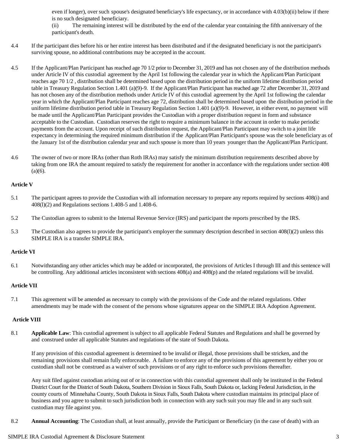even if longer), over such spouse's designated beneficiary's life expectancy, or in accordance with 4.03(b)(ii) below if there is no such designated beneficiary.

(ii) The remaining interest will be distributed by the end of the calendar year containing the fifth anniversary of the participant's death.

- 4.4 If the participant dies before his or her entire interest has been distributed and if the designated beneficiary is not the participant's surviving spouse, no additional contributions may be accepted in the account.
- 4.5 If the Applicant/Plan Participant has reached age 70 1/2 prior to December 31, 2019 and has not chosen any of the distribution methods under Article IV of this custodial agreement by the April 1st following the calendar year in which the Applicant/Plan Participant reaches age 70 1/2 , distribution shall be determined based upon the distribution period in the uniform lifetime distribution period table in Treasury Regulation Section 1.401 (a)(9)-9. If the Applicant/Plan Participant has reached age 72 after December 31, 2019 and has not chosen any of the distribution methods under Article IV of this custodial agreement by the April 1st following the calendar year in which the Applicant/Plan Participant reaches age 72, distribution shall be determined based upon the distribution period in the uniform lifetime distribution period table in Treasury Regulation Section 1.401 (a)(9)-9. However, in either event, no payment will be made until the Applicant/Plan Participant provides the Custodian with a proper distribution request in form and substance acceptable to the Custodian. Custodian reserves the right to require a minimum balance in the account in order to make periodic payments from the account. Upon receipt of such distribution request, the Applicant/Plan Participant may switch to a joint life expectancy in determining the required minimum distribution if the Applicant/Plan Participant's spouse was the sole beneficiary as of the January 1st of the distribution calendar year and such spouse is more than 10 years younger than the Applicant/Plan Participant.
- 4.6 The owner of two or more IRAs (other than Roth IRAs) may satisfy the minimum distribution requirements described above by taking from one IRA the amount required to satisfy the requirement for another in accordance with the regulations under section 408  $(a)(6)$ .

#### **Article V**

- 5.1 The participant agrees to provide the Custodian with all information necessary to prepare any reports required by sections 408(i) and 408(l)(2) and Regulations sections 1.408-5 and 1.408-6.
- 5.2 The Custodian agrees to submit to the Internal Revenue Service (IRS) and participant the reports prescribed by the IRS.
- 5.3 The Custodian also agrees to provide the participant's employer the summary description described in section 408(l)(2) unless this SIMPLE IRA is a transfer SIMPLE IRA.

#### **Article VI**

6.1 Notwithstanding any other articles which may be added or incorporated, the provisions of Articles I through III and this sentence will be controlling. Any additional articles inconsistent with sections 408(a) and 408(p) and the related regulations will be invalid.

#### **Article VII**

7.1 This agreement will be amended as necessary to comply with the provisions of the Code and the related regulations. Other amendments may be made with the consent of the persons whose signatures appear on the SIMPLE IRA Adoption Agreement.

#### **Article VIII**

8.1 **Applicable Law**: This custodial agreement is subject to all applicable Federal Statutes and Regulations and shall be governed by and construed under all applicable Statutes and regulations of the state of South Dakota.

If any provision of this custodial agreement is determined to be invalid or illegal, those provisions shall be stricken, and the remaining provisions shall remain fully enforceable. A failure to enforce any of the provisions of this agreement by either you or custodian shall not be construed as a waiver of such provisions or of any right to enforce such provisions thereafter.

Any suit filed against custodian arising out of or in connection with this custodial agreement shall only be instituted in the Federal District Court for the District of South Dakota, Southern Division in Sioux Falls, South Dakota or, lacking Federal Jurisdiction, in the county courts of Minnehaha County, South Dakota in Sioux Falls, South Dakota where custodian maintains its principal place of business and you agree to submit to such jurisdiction both in connection with any such suit you may file and in any such suit custodian may file against you.

8.2 **Annual Accounting**: The Custodian shall, at least annually, provide the Participant or Beneficiary (in the case of death) with an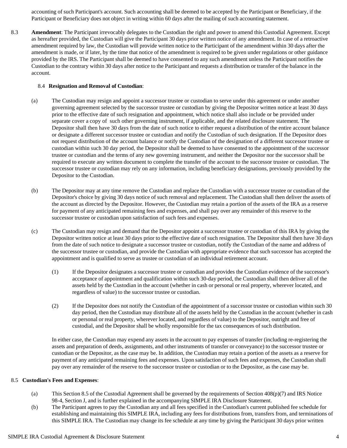accounting of such Participant's account. Such accounting shall be deemed to be accepted by the Participant or Beneficiary, if the Participant or Beneficiary does not object in writing within 60 days after the mailing of such accounting statement.

8.3 **Amendment**: The Participant irrevocably delegates to the Custodian the right and power to amend this Custodial Agreement. Except as hereafter provided, the Custodian will give the Participant 30 days prior written notice of any amendment. In case of a retroactive amendment required by law, the Custodian will provide written notice to the Participant of the amendment within 30 days after the amendment is made, or if later, by the time that notice of the amendment is required to be given under regulations or other guidance provided by the IRS. The Participant shall be deemed to have consented to any such amendment unless the Participant notifies the Custodian to the contrary within 30 days after notice to the Participant and requests a distribution or transfer of the balance in the account.

#### 8.4 **Resignation and Removal of Custodian**:

- (a) The Custodian may resign and appoint a successor trustee or custodian to serve under this agreement or under another governing agreement selected by the successor trustee or custodian by giving the Depositor written notice at least 30 days prior to the effective date of such resignation and appointment, which notice shall also include or be provided under separate cover a copy of such other governing instrument, if applicable, and the related disclosure statement. The Depositor shall then have 30 days from the date of such notice to either request a distribution of the entire account balance or designate a different successor trustee or custodian and notify the Custodian of such designation. If the Depositor does not request distribution of the account balance or notify the Custodian of the designation of a different successor trustee or custodian within such 30 day period, the Depositor shall be deemed to have consented to the appointment of the successor trustee or custodian and the terms of any new governing instrument, and neither the Depositor nor the successor shall be required to execute any written document to complete the transfer of the account to the successor trustee or custodian. The successor trustee or custodian may rely on any information, including beneficiary designations, previously provided by the Depositor to the Custodian.
- (b) The Depositor may at any time remove the Custodian and replace the Custodian with a successor trustee or custodian of the Depositor's choice by giving 30 days notice of such removal and replacement. The Custodian shall then deliver the assets of the account as directed by the Depositor. However, the Custodian may retain a portion of the assets of the IRA as a reserve for payment of any anticipated remaining fees and expenses, and shall pay over any remainder of this reserve to the successor trustee or custodian upon satisfaction of such fees and expenses.
- (c) The Custodian may resign and demand that the Depositor appoint a successor trustee or custodian of this IRA by giving the Depositor written notice at least 30 days prior to the effective date of such resignation. The Depositor shall then have 30 days from the date of such notice to designate a successor trustee or custodian, notify the Custodian of the name and address of the successor trustee or custodian, and provide the Custodian with appropriate evidence that such successor has accepted the appointment and is qualified to serve as trustee or custodian of an individual retirement account.
	- (1) If the Depositor designates a successor trustee or custodian and provides the Custodian evidence of the successor's acceptance of appointment and qualification within such 30-day period, the Custodian shall then deliver all of the assets held by the Custodian in the account (whether in cash or personal or real property, wherever located, and regardless of value) to the successor trustee or custodian.
	- (2) If the Depositor does not notify the Custodian of the appointment of a successor trustee or custodian within such 30 day period, then the Custodian may distribute all of the assets held by the Custodian in the account (whether in cash or personal or real property, wherever located, and regardless of value) to the Depositor, outright and free of custodial, and the Depositor shall be wholly responsible for the tax consequences of such distribution.

In either case, the Custodian may expend any assets in the account to pay expenses of transfer (including re-registering the assets and preparation of deeds, assignments, and other instruments of transfer or conveyance) to the successor trustee or custodian or the Depositor, as the case may be. In addition, the Custodian may retain a portion of the assets as a reserve for payment of any anticipated remaining fees and expenses. Upon satisfaction of such fees and expenses, the Custodian shall pay over any remainder of the reserve to the successor trustee or custodian or to the Depositor, as the case may be.

#### 8.5 **Custodian's Fees and Expenses**:

- (a) This Section 8.5 of the Custodial Agreement shall be governed by the requirements of Section 408(p)(7) and IRS Notice 98-4, Section J, and is further explained in the accompanying SIMPLE IRA Disclosure Statement.
- (b) The Participant agrees to pay the Custodian any and all fees specified in the Custodian's current published fee schedule for establishing and maintaining this SIMPLE IRA, including any fees for distributions from, transfers from, and terminations of this SIMPLE IRA. The Custodian may change its fee schedule at any time by giving the Participant 30 days prior written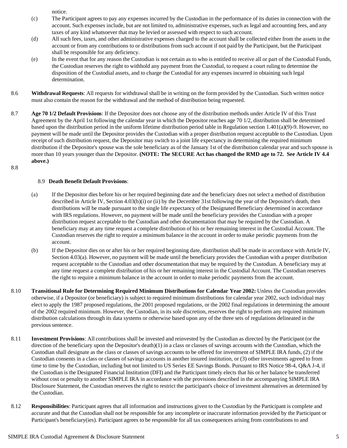notice.

- (c) The Participant agrees to pay any expenses incurred by the Custodian in the performance of its duties in connection with the account. Such expenses include, but are not limited to, administrative expenses, such as legal and accounting fees, and any taxes of any kind whatsoever that may be levied or assessed with respect to such account.
- (d) All such fees, taxes, and other administrative expenses charged to the account shall be collected either from the assets in the account or from any contributions to or distributions from such account if not paid by the Participant, but the Participant shall be responsible for any deficiency.
- (e) In the event that for any reason the Custodian is not certain as to who is entitled to receive all or part of the Custodial Funds, the Custodian reserves the right to withhold any payment from the Custodial, to request a court ruling to determine the disposition of the Custodial assets, and to charge the Custodial for any expenses incurred in obtaining such legal determination.
- 8.6 **Withdrawal Requests**: All requests for withdrawal shall be in writing on the form provided by the Custodian. Such written notice must also contain the reason for the withdrawal and the method of distribution being requested.
- 8.7 **Age 70 1/2 Default Provisions**: If the Depositor does not choose any of the distribution methods under Article IV of this Trust Agreement by the April 1st following the calendar year in which the Depositor reaches age 70 1/2, distribution shall be determined based upon the distribution period in the uniform lifetime distribution period table in Regulation section 1.401(a)(9)-9. However, no payment will be made until the Depositor provides the Custodian with a proper distribution request acceptable to the Custodian. Upon receipt of such distribution request, the Depositor may switch to a joint life expectancy in determining the required minimum distribution if the Depositor's spouse was the sole beneficiary as of the January 1st of the distribution calendar year and such spouse is more than 10 years younger than the Depositor. **(NOTE: The SECURE Act has changed the RMD age to 72. See Article IV 4.4 above.)**

#### 8.8

#### 8.9 **Death Benefit Default Provisions**:

- (a) If the Depositor dies before his or her required beginning date and the beneficiary does not select a method of distribution described in Article IV, Section 4.03(b)(i) or (ii) by the December 31st following the year of the Depositor's death, then distributions will be made pursuant to the single life expectancy of the Designated Beneficiary determined in accordance with IRS regulations. However, no payment will be made until the beneficiary provides the Custodian with a proper distribution request acceptable to the Custodian and other documentation that may be required by the Custodian. A beneficiary may at any time request a complete distribution of his or her remaining interest in the Custodial Account. The Custodian reserves the right to require a minimum balance in the account in order to make periodic payments from the account.
- (b) If the Depositor dies on or after his or her required beginning date, distribution shall be made in accordance with Article IV, Section 4.03(a). However, no payment will be made until the beneficiary provides the Custodian with a proper distribution request acceptable to the Custodian and other documentation that may be required by the Custodian. A beneficiary may at any time request a complete distribution of his or her remaining interest in the Custodial Account. The Custodian reserves the right to require a minimum balance in the account in order to make periodic payments from the account.
- 8.10 **Transitional Rule for Determining Required Minimum Distributions for Calendar Year 2002:** Unless the Custodian provides otherwise, if a Depositor (or beneficiary) is subject to required minimum distributions for calendar year 2002, such individual may elect to apply the 1987 proposed regulations, the 2001 proposed regulations, or the 2002 final regulations in determining the amount of the 2002 required minimum. However, the Custodian, in its sole discretion, reserves the right to perform any required minimum distribution calculations through its data systems or otherwise based upon any of the three sets of regulations delineated in the previous sentence.
- 8.11 **Investment Provisions**: All contributions shall be invested and reinvested by the Custodian as directed by the Participant (or the direction of the beneficiary upon the Depositor's death)(1) in a class or classes of savings accounts with the Custodian, which the Custodian shall designate as the class or classes of savings accounts to be offered for investment of SIMPLE IRA funds, (2) if the Custodian consents in a class or classes of savings accounts in another insured institution, or (3) other investments agreed to from time to time by the Custodian, including but not limited to US Series EE Savings Bonds. Pursuant to IRS Notice 98-4, Q&A J-4,if the Custodian is the Designated Financial Institution (DFI) and the Participant timely elects that his or her balance be transferred without cost or penalty to another SIMPLE IRA in accordance with the provisions described in the accompanying SIMPLE IRA Disclosure Statement, the Custodian reserves the right to restrict the participant's choice of investment alternatives as determined by the Custodian.
- 8.12 **Responsibilities**: Participant agrees that all information and instructions given to the Custodian by theParticipant is complete and accurate and that the Custodian shall not be responsible for any incomplete or inaccurate information provided by the Participant or Participant's beneficiary(ies). Participant agrees to be responsible for all tax consequences arising from contributions to and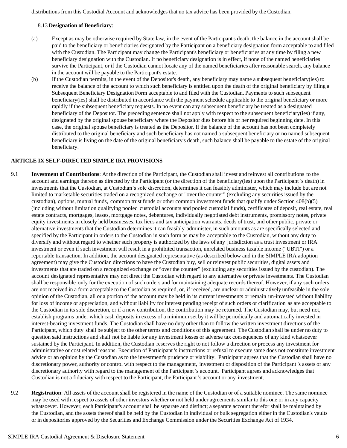distributions from this Custodial Account and acknowledges that no tax advice has been provided by the Custodian.

#### 8.13 **Designation of Beneficiary**:

- (a) Except as may be otherwise required by State law, in the event of the Participant's death, the balance in the account shall be paid to the beneficiary or beneficiaries designated by the Participant on a beneficiary designation form acceptable to and filed with the Custodian. The Participant may change the Participant's beneficiary or beneficiaries at any time by filing a new beneficiary designation with the Custodian. If no beneficiary designation is in effect, if none of the named beneficiaries survive the Participant, or if the Custodian cannot locate any of the named beneficiaries after reasonable search, any balance in the account will be payable to the Participant's estate.
- (b) If the Custodian permits, in the event of the Depositor's death, any beneficiary may name a subsequent beneficiary(ies) to receive the balance of the account to which such beneficiary is entitled upon the death of the original beneficiary by filing a Subsequent Beneficiary Designation Form acceptable to and filed with the Custodian. Payments to such subsequent beneficiary(ies) shall be distributed in accordance with the payment schedule applicable to the original beneficiary or more rapidly if the subsequent beneficiary requests. In no event can any subsequent beneficiary be treated as a designated beneficiary of the Depositor. The preceding sentence shall not apply with respect to the subsequent beneficiary(ies) if any, designated by the original spouse beneficiary where the Depositor dies before his or her required beginning date. In this case, the original spouse beneficiary is treated as the Depositor. If the balance of the account has not been completely distributed to the original beneficiary and such beneficiary has not named a subsequent beneficiary or no named subsequent beneficiary is living on the date of the original beneficiary's death, such balance shall be payable to the estate of the original beneficiary.

#### **ARTICLE IX SELF-DIRECTED SIMPLE IRA PROVISIONS**

- 9.1 **Investment of Contributions**: At the direction of the Participant, the Custodian shall invest and reinvest all contributions to the account and earnings thereon as directed by the Participant (or the direction of the beneficiary(ies) upon the Participant 's death) in investments that the Custodian, at Custodian's sole discretion, determines it can feasibly administer, which may include but are not limited to marketable securities traded on a recognized exchange or "over the counter" (excluding any securities issued by the custodian), options, mutual funds, common trust funds or other common investment funds that qualify under Section 408(b)(5) (including without limitation qualifying pooled custodial accounts and pooled custodial funds), certificates of deposit, real estate, real estate contracts, mortgages, leases, mortgage notes, debentures, individually negotiated debt instruments, promissory notes, private equity investments in closely held businesses, tax liens and tax anticipation warrants, deeds of trust, and other public, private or alternative investments that the Custodian determines it can feasibly administer, in such amounts as are specifically selected and specified by the Participant in orders to the Custodian in such form as may be acceptable to the Custodian, without any duty to diversify and without regard to whether such property is authorized by the laws of any jurisdiction as a trust investment or IRA investment or even if such investment will result in a prohibited transaction, unrelated business taxable income ("UBTI") or a reportable transaction. In addition, the account designated representative (as described below and in the SIMPLE IRA adoption agreement) may give the Custodian directions to have the Custodian buy, sell or reinvest public securities, digital assets and investments that are traded on a recognized exchange or "over the counter" (excluding any securities issued by the custodian). The account designated representative may not direct the Custodian with regard to any alternative or private investments. The Custodian shall be responsible only for the execution of such orders and for maintaining adequate records thereof. However, if any such orders are not received in a form acceptable to the Custodian as required, or, if received, are unclear or administratively unfeasible in the sole opinion of the Custodian, all or a portion of the account may be held in its current investments or remain un-invested without liability for loss of income or appreciation, and without liability for interest pending receipt of such orders or clarification as are acceptable to the Custodian in its sole discretion, or if a new contribution, the contribution may be returned. The Custodian may, but need not, establish programs under which cash deposits in excess of a minimum set by it will be periodically and automatically invested in interest-bearing investment funds. The Custodian shall have no duty other than to follow the written investment directions of the Participant, which duty shall be subject to the other terms and conditions of this agreement. The Custodian shall be under no duty to question said instructions and shall not be liable for any investment losses or adverse tax consequences of any kind whatsoever sustained by the Participant. In addition, the Custodian reserves the right to not follow a direction or process any investment for administrative or cost related reasons. Execution of Participant 's instructions or refusal to execute same does not constitute investment advice or an opinion by the Custodian as to the investment's prudence or viability. Participant agrees that the Custodian shall have no discretionary power, authority or control with respect to the management, investment or disposition of the Participant 's assets or any discretionary authority with regard to the management of the Participant 's account. Participant agrees and acknowledges that Custodian is not a fiduciary with respect to the Participant, the Participant 's account or any investment.
- 9.2 **Registration**: All assets of the account shall be registered in the name of the Custodian or of a suitable nominee. The same nominee may be used with respect to assets of other investors whether or not held under agreements similar to this one or in any capacity whatsoever. However, each Participant's account shall be separate and distinct; a separate account therefor shall be maintained by the Custodian, and the assets thereof shall be held by the Custodian in individual or bulk segregation either in the Custodian's vaults or in depositories approved by the Securities and Exchange Commission under the Securities Exchange Act of 1934.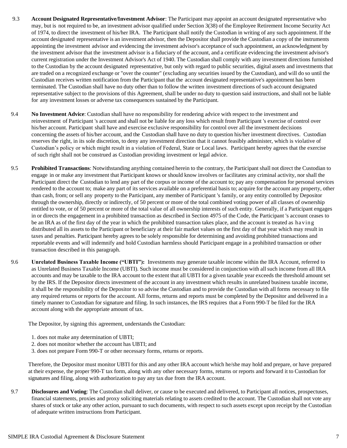- 9.3 **Account Designated Representative/Investment Advisor:** The Participant may appoint an account designated representative who may, but is not required to be, an investment advisor qualified under Section 3(38) of the Employee Retirement Income Security Act of 1974, to direct the investment of his/her IRA. The Participant shall notify the Custodian in writing of any such appointment. If the account designated representative is an investment advisor, then the Depositor shall provide the Custodian a copy of the instruments appointing the investment advisor and evidencing the investment advisor's acceptance of such appointment, an acknowledgment by the investment advisor that the investment advisor is a fiduciary of the account, and a certificate evidencing the investment advisor's current registration under the Investment Advisor's Act of 1940. The Custodian shall comply with any investment directions furnished to the Custodian by the account designated representative, but only with regard to public securities, digital assets and investments that are traded on a recognized exchange or "over the counter" (excluding any securities issued by the Custodian), and will do so until the Custodian receives written notification from the Participant that the account designated representative's appointment has been terminated. The Custodian shall have no duty other than to follow the written investment directions of such account designated representative subject to the provisions of this Agreement, shall be under no duty to question said instructions, and shall not be liable for any investment losses or adverse tax consequences sustained by the Participant.
- 9.4 **No Investment Advice**: Custodian shall have no responsibility for rendering advice with respect to the investment and reinvestment of Participant 's account and shall not be liable for any loss which result from Participant 's exercise of control over his/her account. Participant shall have and exercise exclusive responsibility for control over all the investment decisions concerning the assets of his/her account, and the Custodian shall have no duty to question his/her investment directives. Custodian reserves the right, in its sole discretion, to deny any investment direction that it cannot feasibly administer, which is violative of Custodian's policy or which might result in a violation of Federal, State or Local laws. Participant hereby agrees that the exercise of such right shall not be construed as Custodian providing investment or legal advice.
- 9.5 **Prohibited Transactions**: Notwithstanding anything contained herein to the contrary, the Participant shall not direct the Custodian to engage in or make any investment that Participant knows or should know involves or facilitates any criminal activity, nor shall the Participant direct the Custodian to lend any part of the corpus or income of the account to; pay any compensation for personal services rendered to the account to; make any part of its services available on a preferential basis to; acquire for the account any property, other than cash, from; or sell any property to the Participant, any member of Participant 's family, or any entity controlled by Depositor through the ownership, directly or indirectly, of 50 percent or more of the total combined voting power of all classes of ownership entitled to vote, or of 50 percent or more of the total value of all ownership interests of such entity. Generally, if a Participant engages in or directs the engagement in a prohibited transaction as described in Section 4975 of the Code, the Participant 's account ceases to be an IRA as of the first day of the year in which the prohibited transaction takes place, and the account is treated as ha ving distributed all its assets to the Participant or beneficiary at their fair market values on the first day of that year which may result in taxes and penalties. Participant hereby agrees to be solely responsible for determining and avoiding prohibited transactions and reportable events and will indemnify and hold Custodian harmless should Participant engage in a prohibited transaction or other transaction described in this paragraph.
- 9.6 **Unrelated Business Taxable Income ("UBTI"):** Investments may generate taxable income within the IRA Account, referred to as Unrelated Business Taxable Income (UBTI). Such income must be considered in conjunction with all such income from all IRA accounts and may be taxable to the IRA account to the extent that all UBTI for a given taxable year exceeds the threshold amount set by the IRS. If the Depositor directs investment of the account in any investment which results in unrelated business taxable income, it shall be the responsibility of the Depositor to so advise the Custodian and to provide the Custodian with all forms necessary to file any required returns or reports for the account. All forms, returns and reports must be completed by the Depositor and delivered in a timely manner to Custodian for signature and filing. In such instances, the IRS requires that a Form 990-T be filed for the IRA account along with the appropriate amount of tax.

The Depositor, by signing this agreement, understands the Custodian:

- 1. does not make any determination of UBTI;
- 2. does not monitor whether the account has UBTI; and
- 3. does not prepare Form 990-T or other necessary forms, returns or reports.

Therefore, the Depositor must monitor UBTI for this and any other IRA account which he/she may hold and prepare, or have prepared at their expense, the proper 990-T tax form, along with any other necessary forms, returns or reports and forward it to Custodian for signatures and filing, along with authorization to pay any tax due from the IRA account.

9.7 **Disclosures and Voting**: The Custodian shall deliver, or cause to be executed and delivered, to Participant all notices, prospectuses, financial statements, proxies and proxy soliciting materials relating to assets credited to the account. The Custodian shall not vote any shares of stock or take any other action, pursuant to such documents, with respect to such assets except upon receipt by the Custodian of adequate written instructions from Participant.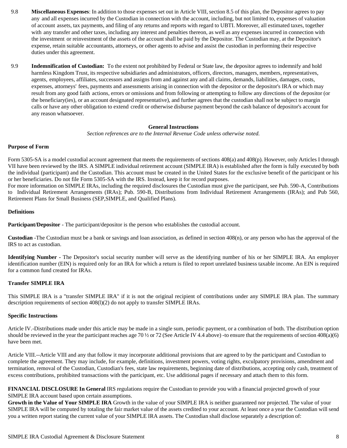- 9.8 **Miscellaneous Expenses**: In addition to those expenses set out in Article VIII, section 8.5 of this plan, the Depositor agrees to pay any and all expenses incurred by the Custodian in connection with the account, including, but not limited to, expenses of valuation of account assets, tax payments, and filing of any returns and reports with regard to UBTI. Moreover, all estimated taxes, together with any transfer and other taxes, including any interest and penalties thereon, as well as any expenses incurred in connection with the investment or reinvestment of the assets of the account shall be paid by the Depositor. The Custodian may, at the Depositor's expense, retain suitable accountants, attorneys, or other agents to advise and assist the custodian in performing their respective duties under this agreement.
- 9.9 **Indemnification of Custodian:** To the extent not prohibited by Federal or State law, the depositor agrees to indemnify and hold harmless Kingdom Trust, its respective subsidiaries and administrators, officers, directors, managers, members, representatives, agents, employees, affiliates, successors and assigns from and against any and all claims, demands, liabilities, damages, costs, expenses, attorneys' fees, payments and assessments arising in connection with the depositor or the depositor's IRA or which may result from any good faith actions, errors or omissions and from following or attempting to follow any directions of the depositor (or the beneficiary(ies), or an account designated representative), and further agrees that the custodian shall not be subject to margin calls or have any other obligation to extend credit or otherwise disburse payment beyond the cash balance of depositor's account for any reason whatsoever.

#### **General Instructions**

*Section references are to the Internal Revenue Code unless otherwise noted.*

#### **Purpose of Form**

Form 5305-SA is a model custodial account agreement that meets the requirements of sections 408(a) and 408(p). However, only Articles I through VII have been reviewed by the IRS. A SIMPLE individual retirement account (SIMPLE IRA) is established after the form is fully executed by both the individual (participant) and the Custodian. This account must be created in the United States for the exclusive benefit of the participant or his or her beneficiaries. Do not file Form 5305-SA with the IRS. Instead, keep it for record purposes.

For more information on SIMPLE IRAs, including the required disclosures the Custodian must give the participant, see Pub. 590-A, Contributions to Individual Retirement Arrangements (IRAs); Pub. 590-B, Distributions from Individual Retirement Arrangements (IRAs); and Pub 560, Retirement Plans for Small Business (SEP,SIMPLE, and Qualified Plans).

#### **Definitions**

**Participant/Depositor** - The participant/depositor is the person who establishes the custodial account.

**Custodian** -The Custodian must be a bank or savings and loan association, as defined in section 408(n), or any person who has the approval of the IRS to act as custodian.

**Identifying Number -** The Depositor's social security number will serve as the identifying number of his or her SIMPLE IRA. An employer identification number (EIN) is required only for an IRA for which a return is filed to report unrelated business taxable income. An EIN is required for a common fund created for IRAs.

#### **Transfer SIMPLE IRA**

This SIMPLE IRA is a "transfer SIMPLE IRA" if it is not the original recipient of contributions under any SIMPLE IRA plan. The summary description requirements of section 408(l)(2) do not apply to transfer SIMPLE IRAs.

#### **Specific Instructions**

Article IV.-Distributions made under this article may be made in a single sum, periodic payment, or a combination of both. The distribution option should be reviewed in the year the participant reaches age 70  $\frac{1}{2}$  or 72 (See Article IV 4.4 above) -to ensure that the requirements of section 408(a)(6) have been met.

Article VIII.--Article VIII and any that follow it may incorporate additional provisions that are agreed to by the participant and Custodian to complete the agreement. They may include, for example, definitions, investment powers, voting rights, exculpatory provisions, amendment and termination, removal of the Custodian, Custodian's fees, state law requirements, beginning date of distributions, accepting only cash, treatment of excess contributions, prohibited transactions with the participant, etc. Use additional pages if necessary and attach them to this form.

**FINANCIAL DISCLOSURE In General** IRS regulations require the Custodian to provide you with a financial projected growth of your SIMPLE IRA account based upon certain assumptions.

**Growth in the Value of Your SIMPLE IRA** Growth in the value of your SIMPLE IRA is neither guaranteed nor projected. The value of your SIMPLE IRA will be computed by totaling the fair market value of the assets credited to your account. At least once a year the Custodian will send you a written report stating the current value of your SIMPLE IRA assets. The Custodian shall disclose separately a description of: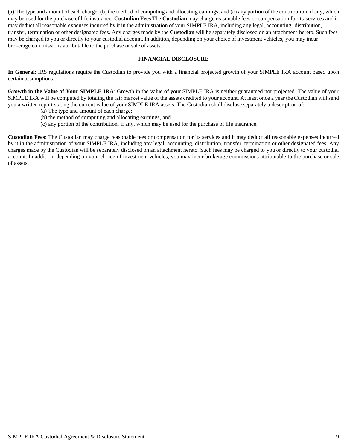(a) The type and amount of each charge; (b) the method of computing and allocating earnings, and (c) any portion of the contribution, if any, which may be used for the purchase of life insurance. **Custodian Fees** The **Custodian** may charge reasonable fees or compensation for its services and it may deduct all reasonable expenses incurred by it in the administration of your SIMPLE IRA, including any legal, accounting, distribution, transfer, termination or other designated fees. Any charges made by the **Custodian** will be separately disclosed on an attachment hereto. Such fees may be charged to you or directly to your custodial account. In addition, depending on your choice of investment vehicles, you may incur brokerage commissions attributable to the purchase or sale of assets.

#### **FINANCIAL DISCLOSURE**

**In General**: IRS regulations require the Custodian to provide you with a financial projected growth of your SIMPLE IRA account based upon certain assumptions.

**Growth in the Value of Your SIMPLE IRA**: Growth in the value of your SIMPLE IRA is neither guaranteed nor projected. The value of your SIMPLE IRA will be computed by totaling the fair market value of the assets credited to your account. At least once a year the Custodian will send you a written report stating the current value of your SIMPLE IRA assets. The Custodian shall disclose separately a description of:

- (a) The type and amount of each charge;
- (b) the method of computing and allocating earnings, and
- (c) any portion of the contribution, if any, which may be used for the purchase of life insurance.

**Custodian Fees**: The Custodian may charge reasonable fees or compensation for its services and it may deduct all reasonable expenses incurred by it in the administration of your SIMPLE IRA, including any legal, accounting, distribution, transfer, termination or other designated fees. Any charges made by the Custodian will be separately disclosed on an attachment hereto. Such fees may be charged to you or directly to your custodial account. In addition, depending on your choice of investment vehicles, you may incur brokerage commissions attributable to the purchase or sale of assets.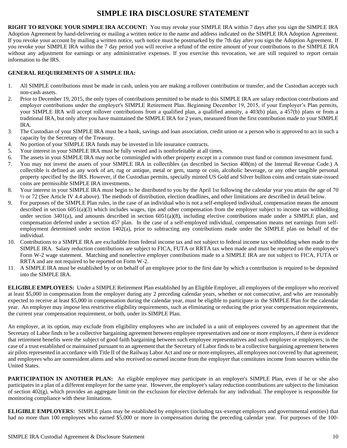## **SIMPLE IRA DISCLOSURE STATEMENT**

**RIGHT TO REVOKE YOUR SIMPLE IRA ACCOUNT:** You may revoke your SIMPLE IRA within 7 days after you sign the SIMPLE IRA Adoption Agreement by hand-delivering or mailing a written notice to the name and address indicated on the SIMPLE IRA Adoption Agreement. If you revoke your account by mailing a written notice, such notice must be postmarked by the 7th day after you sign the Adoption Agreement. If you revoke your SIMPLE IRA within the 7 day period you will receive a refund of the entire amount of your contributions to the SIMPLE IRA without any adjustment for earnings or any administrative expenses. If you exercise this revocation, we are still required to report certain information to the IRS.

#### **GENERAL REQUIREMENTS OF A SIMPLE IRA:**

- 1. All SIMPLE contributions must be made in cash, unless you are making a rollover contribution or transfer, and the Custodian accepts such non-cash assets.
- 2. Prior to December 19, 2015, the only types of contributions permitted to be made to this SIMPLE IRA are salary reduction contributions and employer contributions under the employer's SIMPLE Retirement Plan. Beginning December 19, 2015, if your Employer's Plan permits, your SIMPLE IRA will accept rollover contributions from a qualified plan, a qualified annuity, a 403(b) plan, a 457(b) plans or from a traditional IRA, but only after you have maintained the SIMPLE IRA for 2 years, measured from the first contribution made to your SIMPLE IRA.
- 3. The Custodian of your SIMPLE IRA must be a bank, savings and loan association, credit union or a person who is approved to act in such a capacity by the Secretary of the Treasury.
- 4. No portion of your SIMPLE IRA funds may be invested in life insurance contracts.
- 5. Your interest in your SIMPLE IRA must be fully vested and is nonforfeitable at all times.
- 6. The assets in your SIMPLE IRA may not be commingled with other property except in a common trust fund or common investment fund.
- 7. You may not invest the assets of your SIMPLE IRA in collectibles (as described in Section 408(m) of the Internal Revenue Code.) A collectible is defined as any work of art, rug or antique, metal or gem, stamp or coin, alcoholic beverage, or any other tangible personal property specified by the IRS. However, if the Custodian permits, specially minted US Gold and Silver bullion coins and certain state-issued coins are permissible SIMPLE IRA investments.
- 8. Your interest in your SIMPLE IRA must begin to be distributed to you by the April 1st following the calendar year you attain the age of 70 ½ or 72 (See Article IV 4.4 above). The methods of distribution, election deadlines, and other limitations are described in detail below.
- 9. For purposes of the SIMPLE Plan rules, in the case of an individual who is not a self-employed individual, compensation means the amount described in section  $6051(a)(3)$  which includes wages, tips and other compensation from the employer subject to income tax withholding under section 3401(a), and amounts described in section 6051(a)(8), including elective contributions made under a SIMPLE plan, and compensation deferred under a section 457 plan. In the case of a self-employed individual, compensation means net earnings from selfemployment determined under section 1402(a), prior to subtracting any contributions made under the SIMPLE plan on behalf of the individual.
- 10. Contributions to a SIMPLE IRA are excludible from federal income tax and not subject to federal income tax withholding when made to the SIMPLE IRA. Salary reduction contributions are subject to FICA, FUTA or RRTA tax when made and must be reported on the employee's Form W-2 wage statement. Matching and nonelective employer contributions made to a SIMPLE IRA are not subject to FICA, FUTA or RRTA and are not required to be reported on Form W-2.
- 11. A SIMPLE IRA must be established by or on behalf of an employee prior to the first date by which a contribution is required to be deposited into the SIMPLE IRA.

**ELIGIBLE EMPLOYEES:** Under a SIMPLE Retirement Plan established by an Eligible Employer, all employees of the employer who received at least \$5,000 in compensation from the employer during any 2 preceding calendar years, whether or not consecutive, and who are reasonably expected to receive at least \$5,000 in compensation during the calendar year, must be eligible to participate in the SIMPLE Plan for the calendar year. An employer may impose less restrictive eligibility requirements, such as eliminating or reducing the prior year compensation requirements, the current year compensation requirement, or both, under its SIMPLE Plan.

An employer, at its option, may exclude from eligibility employees who are included in a unit of employees covered by an agreement that the Secretary of Labor finds to be a collective bargaining agreement between employee representatives and one or more employers, if there is evidence that retirement benefits were the subject of good faith bargaining between such employee representatives and such employer or employers; in the case of a trust established or maintained pursuant to an agreement that the Secretary of Labor finds to be a collective bargaining agreement between air pilots represented in accordance with Title II of the Railway Labor Act and one or more employees, all employees not covered by that agreement; and employees who are nonresident aliens and who received no earned income from the employer that constitutes income from sources within the United States.

**PARTICIPATION IN ANOTHER PLAN:** An eligible employee may participate in an employer's SIMPLE Plan, even if he or she also participates in a plan of a different employer for the same year. However, the employee's salary reduction contributions are subject to the limitation of section 402(g), which provides an aggregate limit on the exclusion for elective deferrals for any individual. The employee is responsible for monitoring compliance with these limitations.

**ELIGIBLE EMPLOYERS:** SIMPLE plans may be established by employers (including tax-exempt employers and governmental entities) that had no more than 100 employees who earned \$5,000 or more in compensation during the preceding calendar year. For purposes of the 100-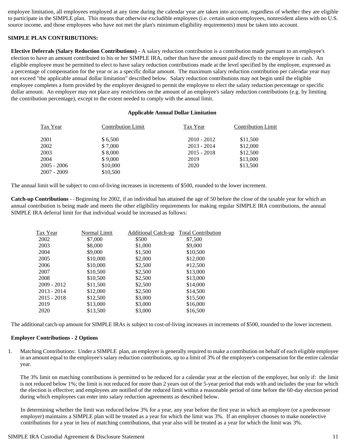employee limitation, all employees employed at any time during the calendar year are taken into account, regardless of whether they are eligible to participate in the SIMPLE plan. This means that otherwise excludible employees (i.e. certain union employees, nonresident aliens with no U.S. source income, and those employees who have not met the plan's minimum eligibility requirements) must be taken into account.

#### **SIMPLE PLAN CONTRIBUTIONS:**

**Elective Deferrals (Salary Reduction Contributions)** - A salary reduction contribution is a contribution made pursuant to an employee's election to have an amount contributed to his or her SIMPLE IRA, rather than have the amount paid directly to the employee in cash. An eligible employee must be permitted to elect to have salary reduction contributions made at the level specified by the employee, expressed as a percentage of compensation for the year or as a specific dollar amount. The maximum salary reduction contribution per calendar year may not exceed "the applicable annual dollar limitation" described below. Salary reduction contributions may not begin until the eligible employee completes a form provided by the employer designed to permit the employee to elect the salary reduction percentage or specific dollar amount. An employer may not place any restrictions on the amount of an employee's salary reduction contributions (e.g. by limiting the contribution percentage), except to the extent needed to comply with the annual limit.

#### **Applicable Annual Dollar Limitation**

| Tax Year    | <b>Contribution Limit</b> | Tax Year      | <b>Contribution Limit</b> |
|-------------|---------------------------|---------------|---------------------------|
| 2001        | \$6,500                   | $2010 - 2012$ | \$11,500                  |
| 2002        | \$7,000                   | $2013 - 2014$ | \$12,000                  |
| 2003        | \$8,000                   | $2015 - 2018$ | \$12,500                  |
| 2004        | \$9,000                   | 2019          | \$13,000                  |
| 2005 - 2006 | \$10,000                  | 2020          | \$13,500                  |
| 2007 - 2009 | \$10,500                  |               |                           |

The annual limit will be subject to cost-of-living increases in increments of \$500, rounded to the lower increment.

**Catch-up Contributions** - - Beginning for 2002, if an individual has attained the age of 50 before the close of the taxable year for which an annual contribution is being made and meets the other eligibility requirements for making regular SIMPLE IRA contributions, the annual SIMPLE IRA deferral limit for that individual would be increased as follows:

| Normal Limit | <b>Additional Catch-up</b> | <b>Total Contribution</b> |
|--------------|----------------------------|---------------------------|
| \$7,000      | \$500                      | \$7,500                   |
| \$8,000      | \$1,000                    | \$9,000                   |
| \$9,000      | \$1,500                    | \$10,500                  |
| \$10,000     | \$2,000                    | \$12,000                  |
| \$10,000     | \$2,500                    | #12,500                   |
| \$10,500     | \$2,500                    | \$13,000                  |
| \$10,500     | \$2,500                    | \$13,000                  |
| \$11,500     | \$2,500                    | \$14,000                  |
| \$12,000     | \$2,500                    | \$14,500                  |
| \$12,500     | \$3,000                    | \$15,500                  |
| \$13,000     | \$3,000                    | \$16,000                  |
| \$13,500     | \$3,000                    | \$16,500                  |
|              |                            |                           |

The additional catch-up amount for SIMPLE IRAs is subject to cost-of-living increases in increments of \$500, rounded to the lower increment.

#### **Employer Contributions - 2 Options**

1. Matching Contributions: Under a SIMPLE plan, an employer is generally required to make a contribution on behalf of each eligible employee in an amount equal to the employee's salary reduction contributions, up to a limit of 3% of the employee's compensation for the entire calendar year.

The 3% limit on matching contributions is permitted to be reduced for a calendar year at the election of the employer, but only if: the limit is not reduced below 1%; the limit is not reduced for more than 2 years out of the 5-year period that ends with and includes the year for which the election is effective; and employees are notified of the reduced limit within a reasonable period of time before the 60-day election period during which employees can enter into salary reduction agreements as described below.

In determining whether the limit was reduced below 3% for a year, any year before the first year in which an employer (or a predecessor employer) maintains a SIMPLE plan will be treated as a year for which the limit was 3%. If an employer chooses to make nonelective contributions for a year in lieu of matching contributions, that year also will be treated as a year for which the limit was 3%.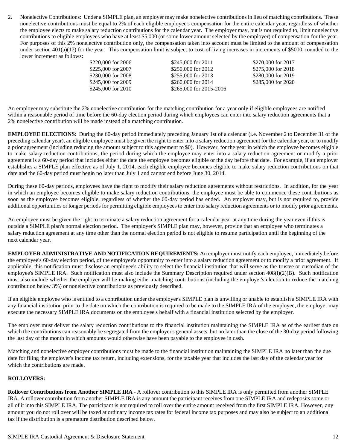2. Nonelective Contributions: Under a SIMPLE plan, an employer may make nonelective contributions in lieu of matching contributions. These nonelective contributions must be equal to 2% of each eligible employee's compensation for the entire calendar year, regardless of whether the employee elects to make salary reduction contributions for the calendar year. The employer may, but is not required to, limit nonelective contributions to eligible employees who have at least \$5,000 (or some lower amount selected by the employer) of compensation for the year. For purposes of this 2% nonelective contribution only, the compensation taken into account must be limited to the amount of compensation under section  $401(a)(17)$  for the year. This compensation limit is subject to cost-of-living increases in increments of \$5000, rounded to the lower increment as follows:

| \$220,000 for 2006 | \$245,000 for 2011      | \$270,000 for 2017 |
|--------------------|-------------------------|--------------------|
| \$225,000 for 2007 | \$250,000 for 2012      | \$275,000 for 2018 |
| \$230,000 for 2008 | \$255,000 for 2013      | \$280,000 for 2019 |
| \$245,000 for 2009 | \$260,000 for 2014      | \$285,000 for 2020 |
| \$245,000 for 2010 | \$265,000 for 2015-2016 |                    |

An employer may substitute the 2% nonelective contribution for the matching contribution for a year only if eligible employees are notified within a reasonable period of time before the 60-day election period during which employees can enter into salary reduction agreements that a 2% nonelective contribution will be made instead of a matching contribution.

**EMPLOYEE ELECTIONS:** During the 60-day period immediately preceding January 1st of a calendar (i.e. November 2 to December 31 of the preceding calendar year), an eligible employee must be given the right to enter into a salary reduction agreement for the calendar year, or to modify a prior agreement (including reducing the amount subject to this agreement to \$0). However, for the year in which the employee becomes eligible to make salary reduction contributions, the period during which the employee may enter into a salary reduction agreement or modify a prior agreement is a 60-day period that includes either the date the employee becomes eligible or the day before that date. For example, if an employer establishes a SIMPLE plan effective as of July 1, 2014, each eligible employee becomes eligible to make salary reduction contributions on that date and the 60-day period must begin no later than July 1 and cannot end before June 30, 2014.

During these 60-day periods, employees have the right to modify their salary reduction agreements without restrictions. In addition, for the year in which an employee becomes eligible to make salary reduction contributions, the employee must be able to commence these contributions as soon as the employee becomes eligible, regardless of whether the 60-day period has ended. An employer may, but is not required to, provide additional opportunities or longer periods for permitting eligible employees to enter into salary reduction agreements or to modify prior agreements.

An employee must be given the right to terminate a salary reduction agreement for a calendar year at any time during the year even if this is outside a SIMPLE plan's normal election period. The employer's SIMPLE plan may, however, provide that an employee who terminates a salary reduction agreement at any time other than the normal election period is not eligible to resume participation until the beginning of the next calendar year.

**EMPLOYER ADMINISTRATIVE AND NOTIFICATION REQUIREMENTS:** An employer must notify each employee, immediately before the employee's 60-day election period, of the employee's opportunity to enter into a salary reduction agreement or to modify a prior agreement. If applicable, this notification must disclose an employee's ability to select the financial institution that will serve as the trustee or custodian of the employee's SIMPLE IRA. Such notification must also include the Summary Description required under section 408(l)(2)(B). Such notification must also include whether the employer will be making either matching contributions (including the employer's election to reduce the matching contribution below 3%) or nonelective contributions as previously described.

If an eligible employee who is entitled to a contribution under the employer's SIMPLE plan is unwilling or unable to establish a SIMPLE IRA with any financial institution prior to the date on which the contribution is required to be made to the SIMPLE IRA of the employee, the employer may execute the necessary SIMPLE IRA documents on the employee's behalf with a financial institution selected by the employer.

The employer must deliver the salary reduction contributions to the financial institution maintaining the SIMPLE IRA as of the earliest date on which the contributions can reasonably be segregated from the employer's general assets, but no later than the close of the 30-day period following the last day of the month in which amounts would otherwise have been payable to the employee in cash.

Matching and nonelective employer contributions must be made to the financial institution maintaining the SIMPLE IRA no later than the due date for filing the employer's income tax return, including extensions, for the taxable year that includes the last day of the calendar year for which the contributions are made.

#### **ROLLOVERS:**

**Rollover Contributions from Another SIMPLE IRA** - A rollover contribution to this SIMPLE IRA is only permitted from another SIMPLE IRA. A rollover contribution from another SIMPLE IRA is any amount the participant receives from one SIMPLE IRA and redeposits some or all of it into this SIMPLE IRA. The participant is not required to roll over the entire amount received from the first SIMPLE IRA. However, any amount you do not roll over will be taxed at ordinary income tax rates for federal income tax purposes and may also be subject to an additional tax if the distribution is a premature distribution described below.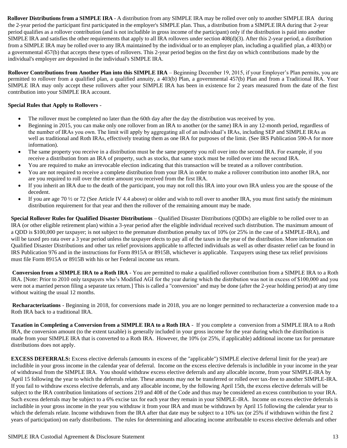**Rollover Distributions from a SIMPLE IRA** - A distribution from any SIMPLE IRA may be rolled over only to another SIMPLE IRA during the 2-year period the participant first participated in the employer's SIMPLE plan. Thus, a distribution from a SIMPLE IRA during that 2-year period qualifies as a rollover contribution (and is not includible in gross income of the participant) only if the distribution is paid into another SIMPLE IRA and satisfies the other requirements that apply to all IRA rollovers under section 408(d)(3). After this 2-year period, a distribution from a SIMPLE IRA may be rolled over to any IRA maintained by the individual or to an employer plan, including a qualified plan, a 403(b) or a governmental 457(b) that accepts these types of rollovers. This 2-year period begins on the first day on which contributions made by the individual's employer are deposited in the individual's SIMPLE IRA.

**Rollover Contributions from Another Plan into this SIMPLE IRA** – Beginning December 19, 2015, if your Employer's Plan permits, you are permitted to rollover from a qualified plan, a qualified annuity, a 403(b) Plan, a governmental 457(b) Plan and from a Traditional IRA. Your SIMPLE IRA may only accept these rollovers after your SIMPLE IRA has been in existence for 2 years measured from the date of the first contribution into your SIMPLE IRA account.

#### **Special Rules that Apply to Rollovers** -

- The rollover must be completed no later than the 60th day after the day the distribution was received by you.
- Beginning in 2015, you can make only one rollover from an IRA to another (or the same) IRA in any 12-month period, regardless of the number of IRAs you own. The limit will apply by aggregating all of an individual's IRAs, including SEP and SIMPLE IRAs as well as traditional and Roth IRAs, effectively treating them as one IRA for purposes of the limit. (See IRS Publication 590-A for more information).
- The same property you receive in a distribution must be the same property you roll over into the second IRA. For example, if you receive a distribution from an IRA of property, such as stocks, that same stock must be rolled over into the second IRA.
- You are required to make an irrevocable election indicating that this transaction will be treated as a rollover contribution.
- You are not required to receive a complete distribution from your IRA in order to make a rollover contribution into another IRA, nor are you required to roll over the entire amount you received from the first IRA.
- If you inherit an IRA due to the death of the participant, you may not roll this IRA into your own IRA unless you are the spouse of the decedent.
- If you are age 70  $\frac{1}{2}$  or 72 (See Article IV 4.4 above) or older and wish to roll over to another IRA, you must first satisfy the minimum distribution requirement for that year and then the rollover of the remaining amount may be made.

**Special Rollover Rules for Qualified Disaster Distributions** – Qualified Disaster Distributions (QDDs) are eligible to be rolled over to an IRA (or other eligible retirement plan) within a 3-year period after the eligible individual received such distribution. The maximum amount of a QDD is \$100,000 per taxpayer; is not subject to the premature distribution penalty tax of 10% (or 25% in the case of a SIMPLE-IRA), and will be taxed pro rata over a 3 year period unless the taxpayer elects to pay all of the taxes in the year of the distribution. More information on Qualified Disaster Distributions and other tax relief provisions applicable to affected individuals as well as other disaster relief can be found in IRS Publication 976 and in the instructions for Form 8915A or 8915B, whichever is applicable. Taxpayers using these tax relief provisions must file Form 8915A or 8915B with his or her Federal income tax return.

**Conversion from a SIMPLE IRA to a Roth IRA** - You are permitted to make a qualified rollover contribution from a SIMPLE IRA to a Roth IRA. [Note: Prior to 2010 only taxpayers who's Modified AGI for the year during which the distribution was not in excess of \$100,000 and you were not a married person filing a separate tax return.] This is called a "conversion" and may be done (after the 2-year holding period) at any time without waiting the usual 12 months.

**Recharacterizations** - Beginning in 2018, for conversions made in 2018, you are no longer permitted to recharacterize a conversion made to a Roth IRA back to a traditional IRA.

**Taxation in Completing a Conversion from a SIMPLE IRA to a Roth IRA** - If you complete a conversion from a SIMPLE IRA to a Roth IRA, the conversion amount (to the extent taxable) is generally included in your gross income for the year during which the distribution is made from your SIMPLE IRA that is converted to a Roth IRA. However, the 10% (or 25%, if applicable) additional income tax for premature distributions does not apply.

**EXCESS DEFERRALS:** Excess elective deferrals (amounts in excess of the "applicable") SIMPLE elective deferral limit for the year) are includible in your gross income in the calendar year of deferral. Income on the excess elective deferrals is includible in your income in the year of withdrawal from the SIMPLE IRA. You should withdraw excess elective deferrals and any allocable income, from your SIMPLE-IRA by April 15 following the year to which the deferrals relate. These amounts may not be transferred or rolled over tax-free to another SIMPLE-IRA. If you fail to withdraw excess elective deferrals, and any allocable income, by the following April 15th, the excess elective deferrals will be subject to the IRA contribution limitations of sections 219 and 408 of the Code and thus may be considered an excess contribution to your IRA. Such excess deferrals may be subject to a 6% excise tax for each year they remain in your SIMPLE-IRA. Income on excess elective deferrals is includible in your gross income in the year you withdraw it from your IRA and must be withdrawn by April 15 following the calendar year to which the deferrals relate. Income withdrawn from the IRA after that date may be subject to a 10% tax (or 25% if withdrawn within the first 2 years of participation) on early distributions. The rules for determining and allocating income attributable to excess elective deferrals and other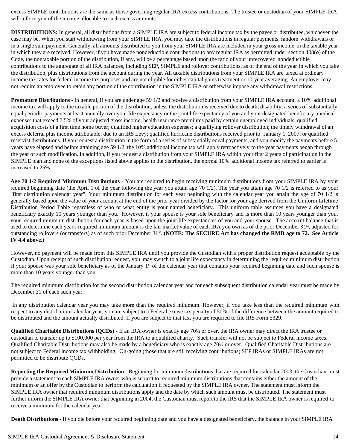excess SIMPLE contributions are the same as those governing regular IRA excess contributions. The trustee or custodian of your SIMPLE-IRA will inform you of the income allocable to such excess amounts.

**DISTRIBUTIONS:** In general, all distributions from a SIMPLE IRA are subject to federal income tax by the payee or distributee, whichever the case may be. When you start withdrawing from your SIMPLE IRA, you may take the distributions in regular payments, random withdrawals or in a single sum payment. Generally, all amounts distributed to you from your SIMPLE IRA are included in your gross income in the taxable year in which they are received. However, if you have made nondeductible contributions to any regular IRA as permitted under section 408(o) of the Code, the nontaxable portion of the distribution, if any, will be a percentage based upon the ratio of your unrecovered nondeductible contributions to the aggregate of all IRA balances, including SEP, SIMPLE and rollover contributions, as of the end of the year in which you take the distribution, plus distributions from the account during the year. All taxable distributions from your SIMPLE IRA are taxed at ordinary income tax rates for federal income tax purposes and are not eligible for either capital gains treatment or 10-year averaging. An employer may not require an employee to retain any portion of the contribution in the SIMPLE IRA or otherwise impose any withdrawal restrictions.

**Premature Distributions** - In general, if you are under age 59 1/2 and receive a distribution from your SIMPLE IRA account, a 10% additional income tax will apply to the taxable portion of the distribution, unless the distribution is received due to death; disability; a series of substantially equal periodic payments at least annually over your life expectancy or the joint life expectancy of you and your designated beneficiary; medical expenses that exceed 7.5% of your adjusted gross income; health insurance premiums paid by certain unemployed individuals; qualified acquisition costs of a first time home buyer; qualified higher education expenses; a qualifying rollover distribution; the timely withdrawal of an excess deferral plus income attributable; due to an IRS Levy; qualified hurricane distributions received prior to January 1, 2007; or qualified reservist distributions. If you request a distribution in the form of a series of substantially equal payments, and you modify the payments before 5 years have elapsed and before attaining age 59 1/2, the 10% additional income tax will apply retroactively to the year payments began through the year of such modification. In addition, if you request a distribution from your SIMPLE IRA within your first 2 years of participation in the SIMPLE plan and none of the exceptions listed above applies to the distribution, the normal 10% additional income tax referred to earlier is increased to 25%.

**Age 70 1/2 Required Minimum Distributions** - You are required to begin receiving minimum distributions from your SIMPLE IRA by your required beginning date (the April 1 of the year following the year you attain age 70 1/2). The year you attain age 70 1/2 is referred to as your "first distribution calendar year". Your minimum distribution for each year beginning with the calendar year you attain the age of 70 1/2 is generally based upon the value of your account at the end of the prior year divided by the factor for your age derived from the Uniform Lifetime Distribution Period Table regardless of who or what entity is your named beneficiary. This uniform table assumes you have a designated beneficiary exactly 10 years younger than you. However, if your spouse is your sole beneficiary and is more than 10 years younger than you, your required minimum distribution for each year is based upon the joint life expectancies of you and your spouse. The account balance that is used to determine each year's required minimum amount is the fair market value of each IRA you own as of the prior December 31<sup>st</sup>, adjusted for outstanding rollovers (or transfers) as of such prior December 31<sup>st</sup>. (NOTE: The SECURE Act has changed the RMD age to 72. See Article **IV 4.4 above.)**

However, no payment will be made from this SIMPLE IRA until you provide the Custodian with a proper distribution request acceptable by the Custodian. Upon receipt of such distribution request, you may switch to a joint life expectancy in determining the required minimum distribution if your spouse was your sole beneficiary as of the January  $1<sup>st</sup>$  of the calendar year that contains your required beginning date and such spouse is more than 10 years younger than you.

The required minimum distribution for the second distribution calendar year and for each subsequent distribution calendar year must be made by December 31 of each such year.

In any distribution calendar year you may take more than the required minimum. However, if you take less than the required minimum with respect to any distribution calendar year, you are subject to a Federal excise tax penalty of 50% of the difference between the amount required to be distributed and the amount actually distributed. If you are subject to that tax, you are required to file IRS Form 5329.

**Qualified Charitable Distributions (QCDs)** - If an IRA owner is exactly age 70½ or over, the IRA owner may direct the IRA trustee or custodian to transfer up to \$100,000 per year from the IRA to a qualified charity. Such transfer will not be subject to Federal income taxes. Qualified Charitable Distributions may also be made by a beneficiary who is exactly age 70½ or over. Qualified Charitable Distributions are not subject to Federal income tax withholding. On-going (those that are still receiving contributions) SEP IRAs or SIMPLE IRAs are not permitted to be distribute QCDs.

**Reporting the Required Minimum Distribution** - Beginning for minimum distributions that are required for calendar 2003, the Custodian must provide a statement to each SIMPLE IRA owner who is subject to required minimum distributions that contains either the amount of the minimum or an offer by the Custodian to perform the calculation if requested by the SIMPLE IRA owner. The statement must inform the SIMPLE IRA owner that required minimum distributions apply and the date by which such amount must be distributed. The statement must further inform the SIMPLE IRA owner that beginning in 2004, the Custodian must report to the IRS that the SIMPLE IRA owner is required to receive a minimum for the calendar year.

**Death Distributions** - If you die before your required beginning date and you have a designated beneficiary, the balance in your SIMPLE IRA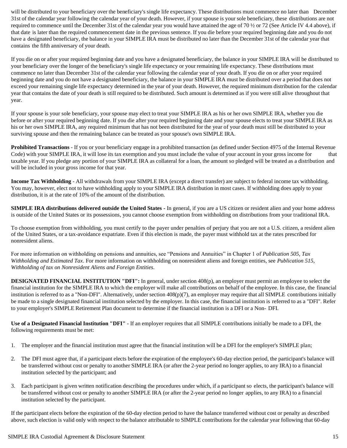will be distributed to your beneficiary over the beneficiary's single life expectancy. These distributions must commence no later than December 31st of the calendar year following the calendar year of your death. However, if your spouse is your sole beneficiary, these distributions are not required to commence until the December 31st of the calendar year you would have attained the age of 70 ½ or 72 (See Article IV 4.4 above), if that date is later than the required commencement date in the previous sentence. If you die before your required beginning date and you do not have a designated beneficiary, the balance in your SIMPLE IRA must be distributed no later than the December 31st of the calendar year that contains the fifth anniversary of your death.

If you die on or after your required beginning date and you have a designated beneficiary, the balance in your SIMPLE IRA will be distributed to your beneficiary over the longer of the beneficiary's single life expectancy or your remaining life expectancy. These distributions must commence no later than December 31st of the calendar year following the calendar year of your death. If you die on or after your required beginning date and you do not have a designated beneficiary, the balance in your SIMPLE IRA must be distributed over a period that does not exceed your remaining single life expectancy determined in the year of your death. However, the required minimum distribution for the calendar year that contains the date of your death is still required to be distributed. Such amount is determined as if you were still alive throughoutthat year.

If your spouse is your sole beneficiary, your spouse may elect to treat your SIMPLE IRA as his or her own SIMPLE IRA, whether you die before or after your required beginning date. If you die after your required beginning date and your spouse elects to treat your SIMPLE IRA as his or her own SIMPLE IRA, any required minimum that has not been distributed for the year of your death must still be distributed to your surviving spouse and then the remaining balance can be treated as your spouse's own SIMPLE IRA.

**Prohibited Transactions** - If you or your beneficiary engage in a prohibited transaction (as defined under Section 4975 of the Internal Revenue Code) with your SIMPLE IRA, it will lose its tax exemption and you must include the value of your account in your gross income for that taxable year. If you pledge any portion of your SIMPLE IRA as collateral for a loan, the amount so pledged will be treated as a distribution and will be included in your gross income for that year.

**Income Tax Withholding** - All withdrawals from your SIMPLE IRA (except a direct transfer) are subject to federal income tax withholding. You may, however, elect not to have withholding apply to your SIMPLE IRA distribution in most cases. If withholding does apply to your distribution, it is at the rate of 10% of the amount of the distribution.

**SIMPLE IRA distributions delivered outside the United States -** In general, if you are a US citizen or resident alien and your home address is outside of the United States or its possessions, you cannot choose exemption from withholding on distributions from your traditional IRA.

To choose exemption from withholding, you must certify to the payer under penalties of perjury that you are not a U.S. citizen, a resident alien of the United States, or a tax-avoidance expatriate. Even if this election is made, the payer must withhold tax at the rates prescribed for nonresident aliens.

For more information on withholding on pensions and annuities, see "Pensions and Annuities" in Chapter 1 of *Publication 505, Tax Withholding and Estimated Tax*. For more information on withholding on nonresident aliens and foreign entities, see *Publication 515, Withholding of tax on Nonresident Aliens and Foreign Entities.*

**DESIGNATED FINANCIAL INSTITUTION "DFI":** In general, under section 408(p), an employer must permit an employee to select the financial institution for the SIMPLE IRA to which the employer will make all contributions on behalf of the employee. In this case, the financial institution is referred to as a "Non-DFI". Alternatively, under section 408(p)(7), an employer may require that all SIMPLE contributions initially be made to a single designated financial institution selected by the employer. In this case, the financial institution is referred to as a "DFI". Refer to your employer's SIMPLE Retirement Plan document to determine if the financial institution is a DFI or a Non- DFI.

**Use of a Designated Financial Institution "DFI"** - If an employer requires that all SIMPLE contributions initially be made to a DFI, the following requirements must be met:

- 1. The employer and the financial institution must agree that the financial institution will be a DFI for the employer's SIMPLE plan;
- 2. The DFI must agree that, if a participant elects before the expiration of the employee's 60-day election period, the participant's balance will be transferred without cost or penalty to another SIMPLE IRA (or after the 2-year period no longer applies, to any IRA) to a financial institution selected by the participant; and
- 3. Each participant is given written notification describing the procedures under which, if a participant so elects, the participant's balance will be transferred without cost or penalty to another SIMPLE IRA (or after the 2-year period no longer applies, to any IRA) to a financial institution selected by the participant.

If the participant elects before the expiration of the 60-day election period to have the balance transferred without cost or penalty as described above, such election is valid only with respect to the balance attributable to SIMPLE contributions for the calendar year following that 60-day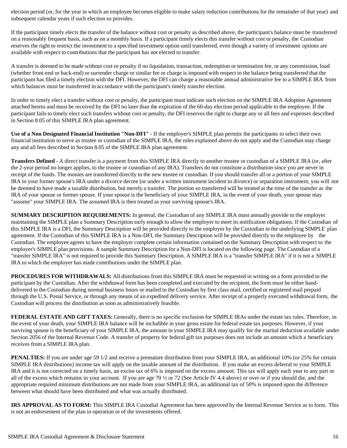election period (or, for the year in which an employee becomes eligible to make salary reduction contributions for the remainder of that year) and subsequent calendar years if such election so provides.

If the participant timely elects the transfer of the balance without cost or penalty as described above, the participant's balance must be transferred on a reasonably frequent basis, such as on a monthly basis. If a participant timely elects this transfer without cost or penalty, the Custodian reserves the right to restrict the investment to a specified investment option until transferred, even though a variety of investment options are available with respect to contributions that the participant has not elected to transfer.

A transfer is deemed to be made without cost or penalty if no liquidation, transaction, redemption or termination fee, or any commission, load (whether front-end or back-end) or surrender charge or similar fee or charge is imposed with respect to the balance being transferred that the participant has filed a timely election with the DFI. However, the DFI can charge a reasonable annual administrative fee to a SIMPLE IRA from which balances must be transferred in accordance with the participant's timely transfer election.

In order to timely elect a transfer without cost or penalty, the participant must indicate such election on the SIMPLE IRA Adoption Agreement attached hereto and must be received by the DFI no later than the expiration of the 60-day election period applicable to the employee. If the participant fails to timely elect such transfers without cost or penalty, the DFI reserves the right to charge any or all fees and expenses described in Section 8.05 of this SIMPLE IRA plan agreement.

**Use of a Non Designated Financial Institution "Non-DFI"** - If the employer's SIMPLE plan permits the participants to select their own financial institution to serve as trustee or custodian of the SIMPLE IRA, the rules explained above do not apply and the Custodian may charge any and all fees described in Section 8.05 of the SIMPLE IRA plan agreement.

**Transfers Defined** - A direct transfer is a payment from this SIMPLE IRA directly to another trustee or custodian of a SIMPLE IRA (or, after the 2-year period no longer applies, to the trustee or custodian of any IRA). Transfers do not constitute a distribution since you are never in receipt of the funds. The monies are transferred directly to the new trustee or custodian. If you should transfer all or a portion of your SIMPLE IRA to your former spouse's IRA under a divorce decree (or under a written instrument incident to divorce) or separation instrument, you will not be deemed to have made a taxable distribution, but merely a transfer. The portion so transferred will be treated at the time of the transfer as the IRA of your spouse or former spouse. If your spouse is the beneficiary of your SIMPLE IRA, in the event of your death, your spouse may "assume" your SIMPLE IRA. The assumed IRA is then treated as your surviving spouse's IRA.

**SUMMARY DESCRIPTION REQUIREMENTS:** In general, the Custodian of any SIMPLE IRA must annually provide to the employer maintaining the SIMPLE plan a Summary Description early enough to allow the employer to meet its notification obligations. If the Custodian of this SIMPLE IRA is a DFI, the Summary Description will be provided directly to the employer by the Custodian in the underlying SIMPLE plan agreement. If the Custodian of this SIMPLE IRA is a Non-DFI, the Summary Description will be provided directly to the employee by the Custodian. The employee agrees to have the employer complete certain information contained on the Summary Description with respect to the employer's SIMPLE plan provisions. A sample Summary Description for a Non-DFI is located on the following page. The Custodian of a "transfer SIMPLE IRA" is not required to provide this Summary Description. A SIMPLE IRA is a "transfer SIMPLE IRA" if it is not a SIMPLE IRA to which the employer has made contributions under the SIMPLE plan.

**PROCEDURES FOR WITHDRAWALS:** All distributions from this SIMPLE IRA must be requested in writing on a form provided to the participant by the Custodian. After the withdrawal form has been completed and executed by the recipient, the form must be either handdelivered to the Custodian during normal business hours or mailed to the Custodian by first class mail, certified or registered mail prepaid through the U.S. Postal Service, or through any means of an expedited delivery service. After receipt of a properly executed withdrawal form, the Custodian will process the distribution as soon as administratively feasible.

**FEDERAL ESTATE AND GIFT TAXES:** Generally, there is no specific exclusion for SIMPLE IRAs under the estate tax rules. Therefore, in the event of your death, your SIMPLE IRA balance will be includible in your gross estate for federal estate tax purposes. However, if your surviving spouse is the beneficiary of your SIMPLE IRA, the amount in your SIMPLE IRA may qualify for the marital deduction available under Section 2056 of the Internal Revenue Code. A transfer of property for federal gift tax purposes does not include an amount which a beneficiary receives from a SIMPLE IRA plan.

**PENALTIES:** If you are under age 59 1/2 and receive a premature distribution from your SIMPLE IRA, an additional 10% (or 25% for certain SIMPLE IRA distributions) income tax will apply on the taxable amount of the distribution. If you make an excess deferral to your SIMPLE IRA and it is not corrected on a timely basis, an excise tax of 6% is imposed on the excess amount. This tax will apply each year to any part or all of the excess which remains in your account. If you are age 70  $\frac{1}{2}$  or 72 (See Article IV 4.4 above) or over or if you should die, and the appropriate required minimum distributions are not made from your SIMPLE IRA, an additional tax of 50% is imposed upon the difference between what should have been distributed and what was actually distributed.

**IRS APPROVAL AS TO FORM:** This SIMPLE IRA Custodial Agreement has been approved by the Internal Revenue Service as to form. This is not an endorsement of the plan in operation or of the investments offered.